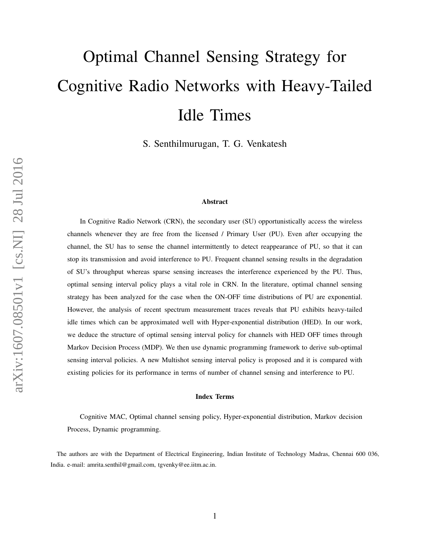# Optimal Channel Sensing Strategy for Cognitive Radio Networks with Heavy-Tailed Idle Times

S. Senthilmurugan, T. G. Venkatesh

#### Abstract

In Cognitive Radio Network (CRN), the secondary user (SU) opportunistically access the wireless channels whenever they are free from the licensed / Primary User (PU). Even after occupying the channel, the SU has to sense the channel intermittently to detect reappearance of PU, so that it can stop its transmission and avoid interference to PU. Frequent channel sensing results in the degradation of SU's throughput whereas sparse sensing increases the interference experienced by the PU. Thus, optimal sensing interval policy plays a vital role in CRN. In the literature, optimal channel sensing strategy has been analyzed for the case when the ON-OFF time distributions of PU are exponential. However, the analysis of recent spectrum measurement traces reveals that PU exhibits heavy-tailed idle times which can be approximated well with Hyper-exponential distribution (HED). In our work, we deduce the structure of optimal sensing interval policy for channels with HED OFF times through Markov Decision Process (MDP). We then use dynamic programming framework to derive sub-optimal sensing interval policies. A new Multishot sensing interval policy is proposed and it is compared with existing policies for its performance in terms of number of channel sensing and interference to PU.

#### Index Terms

Cognitive MAC, Optimal channel sensing policy, Hyper-exponential distribution, Markov decision Process, Dynamic programming.

The authors are with the Department of Electrical Engineering, Indian Institute of Technology Madras, Chennai 600 036, India. e-mail: amrita.senthil@gmail.com, tgvenky@ee.iitm.ac.in.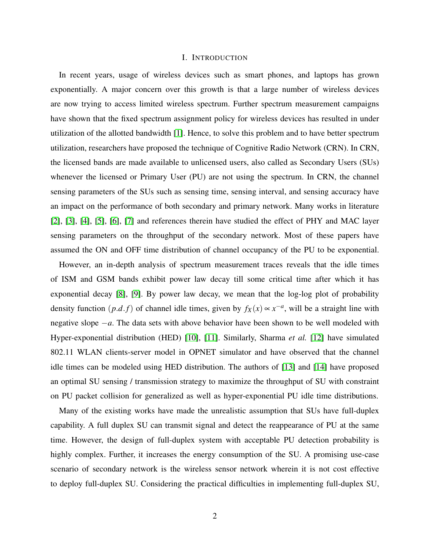#### I. INTRODUCTION

In recent years, usage of wireless devices such as smart phones, and laptops has grown exponentially. A major concern over this growth is that a large number of wireless devices are now trying to access limited wireless spectrum. Further spectrum measurement campaigns have shown that the fixed spectrum assignment policy for wireless devices has resulted in under utilization of the allotted bandwidth [\[1\]](#page-18-0). Hence, to solve this problem and to have better spectrum utilization, researchers have proposed the technique of Cognitive Radio Network (CRN). In CRN, the licensed bands are made available to unlicensed users, also called as Secondary Users (SUs) whenever the licensed or Primary User (PU) are not using the spectrum. In CRN, the channel sensing parameters of the SUs such as sensing time, sensing interval, and sensing accuracy have an impact on the performance of both secondary and primary network. Many works in literature [\[2\]](#page-18-1), [\[3\]](#page-18-2), [\[4\]](#page-19-0), [\[5\]](#page-19-1), [\[6\]](#page-19-2), [\[7\]](#page-19-3) and references therein have studied the effect of PHY and MAC layer sensing parameters on the throughput of the secondary network. Most of these papers have assumed the ON and OFF time distribution of channel occupancy of the PU to be exponential.

However, an in-depth analysis of spectrum measurement traces reveals that the idle times of ISM and GSM bands exhibit power law decay till some critical time after which it has exponential decay [\[8\]](#page-19-4), [\[9\]](#page-19-5). By power law decay, we mean that the log-log plot of probability density function  $(p.d.f)$  of channel idle times, given by  $f_X(x) \propto x^{-a}$ , will be a straight line with negative slope −*a*. The data sets with above behavior have been shown to be well modeled with Hyper-exponential distribution (HED) [\[10\]](#page-19-6), [\[11\]](#page-19-7). Similarly, Sharma *et al.* [\[12\]](#page-19-8) have simulated 802.11 WLAN clients-server model in OPNET simulator and have observed that the channel idle times can be modeled using HED distribution. The authors of [\[13\]](#page-19-9) and [\[14\]](#page-19-10) have proposed an optimal SU sensing / transmission strategy to maximize the throughput of SU with constraint on PU packet collision for generalized as well as hyper-exponential PU idle time distributions.

Many of the existing works have made the unrealistic assumption that SUs have full-duplex capability. A full duplex SU can transmit signal and detect the reappearance of PU at the same time. However, the design of full-duplex system with acceptable PU detection probability is highly complex. Further, it increases the energy consumption of the SU. A promising use-case scenario of secondary network is the wireless sensor network wherein it is not cost effective to deploy full-duplex SU. Considering the practical difficulties in implementing full-duplex SU,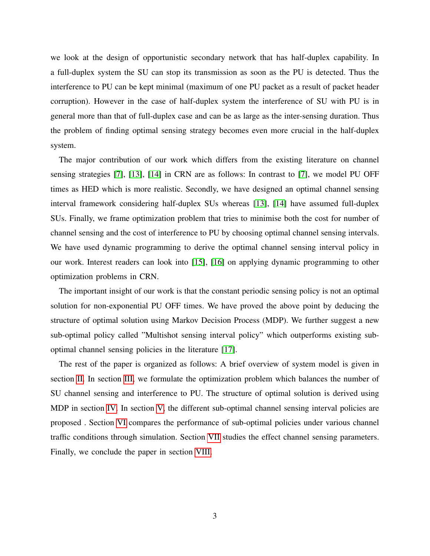we look at the design of opportunistic secondary network that has half-duplex capability. In a full-duplex system the SU can stop its transmission as soon as the PU is detected. Thus the interference to PU can be kept minimal (maximum of one PU packet as a result of packet header corruption). However in the case of half-duplex system the interference of SU with PU is in general more than that of full-duplex case and can be as large as the inter-sensing duration. Thus the problem of finding optimal sensing strategy becomes even more crucial in the half-duplex system.

The major contribution of our work which differs from the existing literature on channel sensing strategies [\[7\]](#page-19-3), [\[13\]](#page-19-9), [\[14\]](#page-19-10) in CRN are as follows: In contrast to [\[7\]](#page-19-3), we model PU OFF times as HED which is more realistic. Secondly, we have designed an optimal channel sensing interval framework considering half-duplex SUs whereas [\[13\]](#page-19-9), [\[14\]](#page-19-10) have assumed full-duplex SUs. Finally, we frame optimization problem that tries to minimise both the cost for number of channel sensing and the cost of interference to PU by choosing optimal channel sensing intervals. We have used dynamic programming to derive the optimal channel sensing interval policy in our work. Interest readers can look into [\[15\]](#page-19-11), [\[16\]](#page-19-12) on applying dynamic programming to other optimization problems in CRN.

The important insight of our work is that the constant periodic sensing policy is not an optimal solution for non-exponential PU OFF times. We have proved the above point by deducing the structure of optimal solution using Markov Decision Process (MDP). We further suggest a new sub-optimal policy called "Multishot sensing interval policy" which outperforms existing suboptimal channel sensing policies in the literature [\[17\]](#page-19-13).

The rest of the paper is organized as follows: A brief overview of system model is given in section [II.](#page-3-0) In section [III,](#page-4-0) we formulate the optimization problem which balances the number of SU channel sensing and interference to PU. The structure of optimal solution is derived using MDP in section [IV.](#page-6-0) In section [V,](#page-8-0) the different sub-optimal channel sensing interval policies are proposed . Section [VI](#page-12-0) compares the performance of sub-optimal policies under various channel traffic conditions through simulation. Section [VII](#page-15-0) studies the effect channel sensing parameters. Finally, we conclude the paper in section [VIII.](#page-18-3)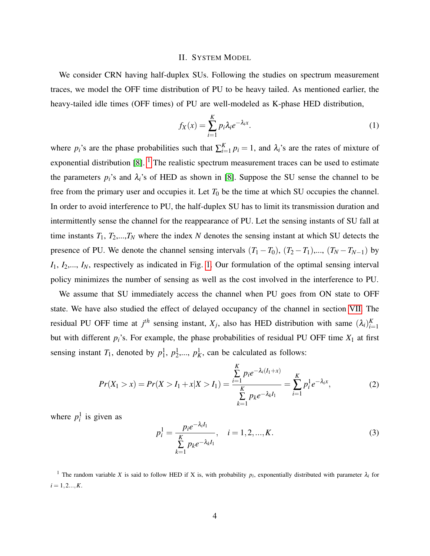#### II. SYSTEM MODEL

<span id="page-3-0"></span>We consider CRN having half-duplex SUs. Following the studies on spectrum measurement traces, we model the OFF time distribution of PU to be heavy tailed. As mentioned earlier, the heavy-tailed idle times (OFF times) of PU are well-modeled as K-phase HED distribution,

<span id="page-3-2"></span>
$$
f_X(x) = \sum_{i=1}^{K} p_i \lambda_i e^{-\lambda_i x}.
$$
 (1)

where  $p_i$ 's are the phase probabilities such that  $\sum_{i=1}^{K} p_i = 1$ , and  $\lambda_i$ 's are the rates of mixture of exponential distribution  $[8]$ . <sup>[1](#page-3-1)</sup> The realistic spectrum measurement traces can be used to estimate the parameters  $p_i$ 's and  $\lambda_i$ 's of HED as shown in [\[8\]](#page-19-4). Suppose the SU sense the channel to be free from the primary user and occupies it. Let  $T_0$  be the time at which SU occupies the channel. In order to avoid interference to PU, the half-duplex SU has to limit its transmission duration and intermittently sense the channel for the reappearance of PU. Let the sensing instants of SU fall at time instants  $T_1, T_2, ..., T_N$  where the index N denotes the sensing instant at which SU detects the presence of PU. We denote the channel sensing intervals  $(T_1 - T_0)$ ,  $(T_2 - T_1)$ ,...,  $(T_N - T_{N-1})$  by *I*1, *I*2,..., *IN*, respectively as indicated in Fig. [1.](#page-5-0) Our formulation of the optimal sensing interval policy minimizes the number of sensing as well as the cost involved in the interference to PU.

We assume that SU immediately access the channel when PU goes from ON state to OFF state. We have also studied the effect of delayed occupancy of the channel in section [VII.](#page-15-0) The residual PU OFF time at  $j<sup>th</sup>$  sensing instant,  $X_j$ , also has HED distribution with same  $(\lambda_i)_{i=1}^K$ but with different *pi*'s. For example, the phase probabilities of residual PU OFF time *X*<sup>1</sup> at first sensing instant  $T_1$ , denoted by  $p_1^1$ ,  $p_2^1$ , ...,  $p_K^1$ , can be calculated as follows:

$$
Pr(X_1 > x) = Pr(X > I_1 + x | X > I_1) = \frac{\sum_{i=1}^{K} p_i e^{-\lambda_i (I_1 + x)}}{\sum_{k=1}^{K} p_k e^{-\lambda_k I_1}} = \sum_{i=1}^{K} p_i^1 e^{-\lambda_i x},
$$
(2)

where  $p_i^1$  is given as

$$
p_i^1 = \frac{p_i e^{-\lambda_i I_1}}{\sum\limits_{k=1}^K p_k e^{-\lambda_k I_1}}, \quad i = 1, 2, ..., K.
$$
 (3)

<span id="page-3-1"></span><sup>1</sup> The random variable *X* is said to follow HED if *X* is, with probability  $p_i$ , exponentially distributed with parameter  $\lambda_i$  for  $i = 1, 2, \ldots, K$ .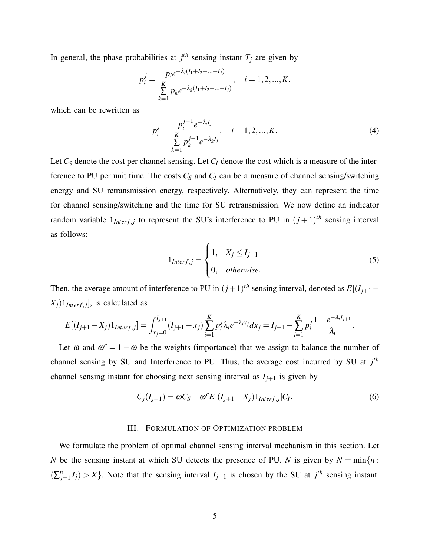In general, the phase probabilities at  $j<sup>th</sup>$  sensing instant  $T_j$  are given by

<span id="page-4-2"></span>
$$
p_i^j = \frac{p_i e^{-\lambda_i (I_1 + I_2 + \dots + I_j)}}{\sum_{k=1}^K p_k e^{-\lambda_k (I_1 + I_2 + \dots + I_j)}}, \quad i = 1, 2, ..., K.
$$

which can be rewritten as

$$
p_i^j = \frac{p_i^{j-1} e^{-\lambda_i I_j}}{\sum_{k=1}^K p_k^{j-1} e^{-\lambda_k I_j}}, \quad i = 1, 2, ..., K.
$$
 (4)

Let *C<sup>S</sup>* denote the cost per channel sensing. Let *C<sup>I</sup>* denote the cost which is a measure of the interference to PU per unit time. The costs  $C_S$  and  $C_I$  can be a measure of channel sensing/switching energy and SU retransmission energy, respectively. Alternatively, they can represent the time for channel sensing/switching and the time for SU retransmission. We now define an indicator random variable  $1_{Interf,j}$  to represent the SU's interference to PU in  $(j+1)^{th}$  sensing interval as follows:

$$
1_{Interf,j} = \begin{cases} 1, & X_j \le I_{j+1} \\ 0, & otherwise. \end{cases}
$$
 (5)

.

Then, the average amount of interference to PU in  $(j+1)$ <sup>th</sup> sensing interval, denoted as  $E[(I_{j+1} - I_{j+1})]$  $(X_j)1_{Interf,j}$ , is calculated as

<span id="page-4-1"></span>
$$
E[(I_{j+1}-X_j)1_{Interf,j}]=\int_{x_j=0}^{I_{j+1}}(I_{j+1}-x_j)\sum_{i=1}^K p_i^j\lambda_i e^{-\lambda_i x_j}dx_j=I_{j+1}-\sum_{i=1}^K p_i^j\frac{1-e^{-\lambda_i I_{j+1}}}{\lambda_i}
$$

Let  $\omega$  and  $\omega^c = 1 - \omega$  be the weights (importance) that we assign to balance the number of channel sensing by SU and Interference to PU. Thus, the average cost incurred by SU at *j th* channel sensing instant for choosing next sensing interval as  $I_{j+1}$  is given by

$$
C_j(I_{j+1}) = \omega C_S + \omega^c E[(I_{j+1} - X_j)1_{Interf,j}]C_I.
$$
\n
$$
(6)
$$

# III. FORMULATION OF OPTIMIZATION PROBLEM

<span id="page-4-0"></span>We formulate the problem of optimal channel sensing interval mechanism in this section. Let *N* be the sensing instant at which SU detects the presence of PU. *N* is given by  $N = \min\{n :$  $(\sum_{j=1}^{n} I_j) > X$ . Note that the sensing interval  $I_{j+1}$  is chosen by the SU at  $j^{th}$  sensing instant.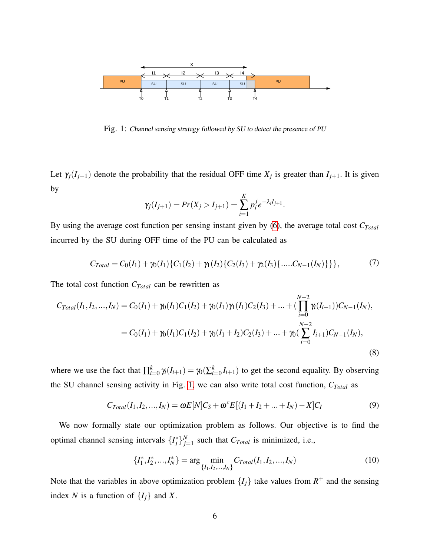<span id="page-5-0"></span>

Fig. 1: Channel sensing strategy followed by SU to detect the presence of PU

Let  $\gamma_j(I_{j+1})$  denote the probability that the residual OFF time  $X_j$  is greater than  $I_{j+1}$ . It is given by

$$
\gamma_j(I_{j+1}) = Pr(X_j > I_{j+1}) = \sum_{i=1}^K p_i^j e^{-\lambda_i I_{j+1}}.
$$

By using the average cost function per sensing instant given by [\(6\)](#page-4-1), the average total cost *CTotal* incurred by the SU during OFF time of the PU can be calculated as

$$
C_{Total} = C_0(I_1) + \gamma_0(I_1)\{C_1(I_2) + \gamma_1(I_2)\{C_2(I_3) + \gamma_2(I_3)\}\}\,\, (7)
$$

The total cost function *CTotal* can be rewritten as

<span id="page-5-1"></span>
$$
C_{Total}(I_1, I_2, ..., I_N) = C_0(I_1) + \gamma_0(I_1)C_1(I_2) + \gamma_0(I_1)\gamma_1(I_1)C_2(I_3) + ... + (\prod_{i=0}^{N-2} \gamma_i(I_{i+1}))C_{N-1}(I_N),
$$
  
= C\_0(I\_1) + \gamma\_0(I\_1)C\_1(I\_2) + \gamma\_0(I\_1 + I\_2)C\_2(I\_3) + ... + \gamma\_0(\sum\_{i=0}^{N-2} I\_{i+1})C\_{N-1}(I\_N), (8)

where we use the fact that  $\prod_{i=0}^{k} \gamma_i(I_{i+1}) = \gamma_0(\sum_{i=0}^{k} I_{i+1})$  to get the second equality. By observing the SU channel sensing activity in Fig. [1,](#page-5-0) we can also write total cost function, *CTotal* as

<span id="page-5-2"></span>
$$
C_{Total}(I_1, I_2, ..., I_N) = \omega E[N]C_S + \omega^c E[(I_1 + I_2 + ... + I_N) - X]C_I
$$
\n(9)

We now formally state our optimization problem as follows. Our objective is to find the optimal channel sensing intervals  $\{I_j^*\}_{j=1}^N$  $\sum_{j=1}^{N}$  such that  $C_{Total}$  is minimized, i.e.,

$$
\{I_1^*, I_2^*, \dots, I_N^*\} = \arg\min_{\{I_1, I_2, \dots, I_N\}} C_{Total}(I_1, I_2, \dots, I_N)
$$
\n(10)

Note that the variables in above optimization problem  $\{I_j\}$  take values from  $R^+$  and the sensing index *N* is a function of  $\{I_j\}$  and *X*.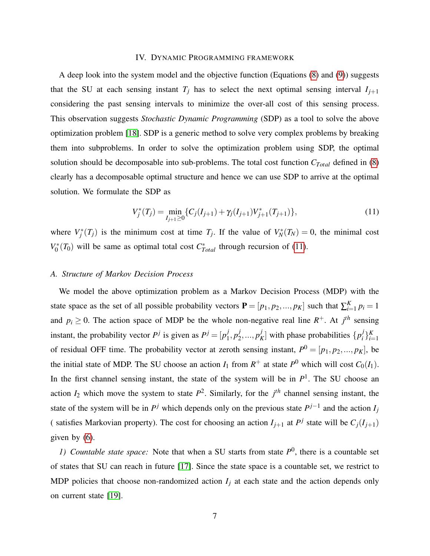#### IV. DYNAMIC PROGRAMMING FRAMEWORK

<span id="page-6-0"></span>A deep look into the system model and the objective function (Equations [\(8\)](#page-5-1) and [\(9\)](#page-5-2)) suggests that the SU at each sensing instant  $T_i$  has to select the next optimal sensing interval  $I_{i+1}$ considering the past sensing intervals to minimize the over-all cost of this sensing process. This observation suggests *Stochastic Dynamic Programming* (SDP) as a tool to solve the above optimization problem [\[18\]](#page-19-14). SDP is a generic method to solve very complex problems by breaking them into subproblems. In order to solve the optimization problem using SDP, the optimal solution should be decomposable into sub-problems. The total cost function *CTotal* defined in [\(8\)](#page-5-1) clearly has a decomposable optimal structure and hence we can use SDP to arrive at the optimal solution. We formulate the SDP as

<span id="page-6-1"></span>
$$
V_j^*(T_j) = \min_{I_{j+1} \ge 0} \{ C_j(I_{j+1}) + \gamma_j(I_{j+1}) V_{j+1}^*(T_{j+1}) \},\tag{11}
$$

where  $V_j^*(T_j)$  is the minimum cost at time  $T_j$ . If the value of  $V_N^*(T_N) = 0$ , the minimal cost *V* ∗  $C_0^*(T_0)$  will be same as optimal total cost  $C_{Total}^*$  through recursion of [\(11\)](#page-6-1).

# *A. Structure of Markov Decision Process*

We model the above optimization problem as a Markov Decision Process (MDP) with the state space as the set of all possible probability vectors  $P = [p_1, p_2, ..., p_K]$  such that  $\sum_{i=1}^{K} p_i = 1$ and  $p_i \geq 0$ . The action space of MDP be the whole non-negative real line  $R^+$ . At  $j<sup>th</sup>$  sensing instant, the probability vector  $P<sup>j</sup>$  is given as  $P<sup>j</sup> = [p<sub>1</sub><sup>j</sup>]$  $j_1, p_2^j$ 2 ,..., *p j*  $K$ <sup>*j*</sup><sub>*K*</sub>] with phase probabilities  $\{p_i^j\}$  $i^{j}$ <sub> $i^{k}$ </sub> of residual OFF time. The probability vector at zeroth sensing instant,  $P^0 = [p_1, p_2, ..., p_K]$ , be the initial state of MDP. The SU choose an action  $I_1$  from  $R^+$  at state  $P^0$  which will cost  $C_0(I_1)$ . In the first channel sensing instant, the state of the system will be in  $P<sup>1</sup>$ . The SU choose an action  $I_2$  which move the system to state  $P^2$ . Similarly, for the  $j<sup>th</sup>$  channel sensing instant, the state of the system will be in  $P^j$  which depends only on the previous state  $P^{j-1}$  and the action  $I_j$ ( satisfies Markovian property). The cost for choosing an action  $I_{j+1}$  at  $P^j$  state will be  $C_j(I_{j+1})$ given by [\(6\)](#page-4-1).

*1)* Countable state space: Note that when a SU starts from state  $P^0$ , there is a countable set of states that SU can reach in future [\[17\]](#page-19-13). Since the state space is a countable set, we restrict to MDP policies that choose non-randomized action  $I_j$  at each state and the action depends only on current state [\[19\]](#page-19-15).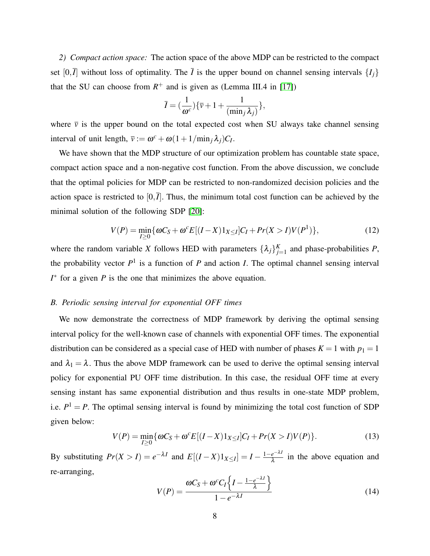*2) Compact action space:* The action space of the above MDP can be restricted to the compact set  $[0,\overline{I}]$  without loss of optimality. The  $\overline{I}$  is the upper bound on channel sensing intervals  $\{I_i\}$ that the SU can choose from  $R^+$  and is given as (Lemma III.4 in [\[17\]](#page-19-13))

<span id="page-7-1"></span>
$$
\overline{I} = \left(\frac{1}{\omega^c}\right) \{ \overline{\nu} + 1 + \frac{1}{(\min_j \lambda_j)} \},\
$$

where  $\bar{v}$  is the upper bound on the total expected cost when SU always take channel sensing interval of unit length,  $\bar{v} := \omega^c + \omega(1 + 1/\min_j \lambda_j)C_I$ .

We have shown that the MDP structure of our optimization problem has countable state space, compact action space and a non-negative cost function. From the above discussion, we conclude that the optimal policies for MDP can be restricted to non-randomized decision policies and the action space is restricted to  $[0,\bar{I}]$ . Thus, the minimum total cost function can be achieved by the minimal solution of the following SDP [\[20\]](#page-19-16):

$$
V(P) = \min_{I \ge 0} \{ \omega C_S + \omega^c E[(I - X)1_{X \le I}]C_I + Pr(X > I)V(P^1) \},\tag{12}
$$

where the random variable *X* follows HED with parameters  $\{\lambda_j\}_{j=1}^K$  and phase-probabilities *P*, the probability vector  $P<sup>1</sup>$  is a function of  $P$  and action  $I$ . The optimal channel sensing interval  $I^*$  for a given *P* is the one that minimizes the above equation.

# *B. Periodic sensing interval for exponential OFF times*

We now demonstrate the correctness of MDP framework by deriving the optimal sensing interval policy for the well-known case of channels with exponential OFF times. The exponential distribution can be considered as a special case of HED with number of phases  $K = 1$  with  $p_1 = 1$ and  $\lambda_1 = \lambda$ . Thus the above MDP framework can be used to derive the optimal sensing interval policy for exponential PU OFF time distribution. In this case, the residual OFF time at every sensing instant has same exponential distribution and thus results in one-state MDP problem, i.e.  $P^1 = P$ . The optimal sensing interval is found by minimizing the total cost function of SDP given below:

$$
V(P) = \min_{I \ge 0} \{ \omega C_S + \omega^c E[(I - X)1_{X \le I}]C_I + Pr(X > I)V(P) \}.
$$
 (13)

By substituting  $Pr(X > I) = e^{-\lambda I}$  and  $E[(I - X)1_{X \leq I}] = I - \frac{1 - e^{-\lambda I}}{\lambda}$  $\frac{e^{-\lambda t}}{\lambda}$  in the above equation and re-arranging,

<span id="page-7-0"></span>
$$
V(P) = \frac{\omega C_S + \omega^c C_I \left\{ I - \frac{1 - e^{-\lambda I}}{\lambda} \right\}}{1 - e^{-\lambda I}}
$$
(14)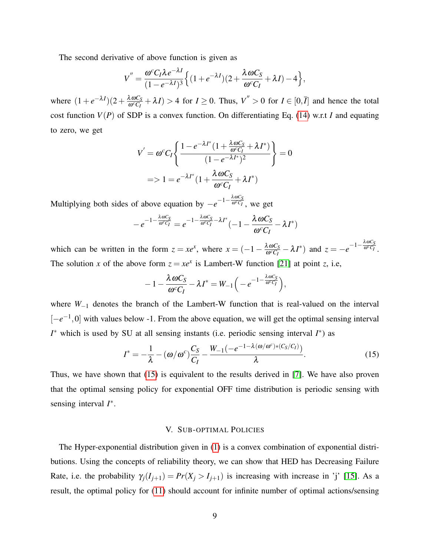The second derivative of above function is given as

<span id="page-8-1"></span>
$$
V'' = \frac{\omega^c C_I \lambda e^{-\lambda I}}{(1 - e^{-\lambda I})^3} \Big\{ (1 + e^{-\lambda I})(2 + \frac{\lambda \omega C_S}{\omega^c C_I} + \lambda I) - 4 \Big\},\,
$$

where  $(1 + e^{-\lambda I})(2 + \frac{\lambda \omega C_S}{\omega^c C_I})$  $\frac{\lambda \omega C_S}{\omega^c C_I} + \lambda I$  > 4 for *I* ≥ 0. Thus,  $V'' > 0$  for *I* ∈ [0,*I*] and hence the total cost function *V*(*P*) of SDP is a convex function. On differentiating Eq. [\(14\)](#page-7-0) w.r.t *I* and equating to zero, we get

$$
V' = \omega^c C_I \left\{ \frac{1 - e^{-\lambda I^*} (1 + \frac{\lambda \omega C_S}{\omega^c C_I} + \lambda I^*)}{(1 - e^{-\lambda I^*})^2} \right\} = 0
$$
  
=  $> 1 = e^{-\lambda I^*} (1 + \frac{\lambda \omega C_S}{\omega^c C_I} + \lambda I^*)$ 

Multiplying both sides of above equation by  $-e^{-1-\frac{\lambda \omega C_s}{\omega^c C_I}}$ , we get

$$
-e^{-1-\frac{\lambda \omega C_S}{\omega^c C_I}}=e^{-1-\frac{\lambda \omega C_S}{\omega^c C_I}-\lambda I^*}(-1-\frac{\lambda \omega C_S}{\omega^c C_I}-\lambda I^*)
$$

which can be written in the form  $z = xe^x$ , where  $x = (-1 - \frac{\lambda \omega C_s}{\omega^2 C_x})$  $\frac{\lambda \omega C_S}{\omega^c C_I} - \lambda I^*$ ) and  $z = -e^{-1-\frac{\lambda \omega C_S}{\omega^c C_I}}$ . The solution *x* of the above form  $z = xe^x$  is Lambert-W function [\[21\]](#page-19-17) at point *z*, i.e,

$$
-1-\frac{\lambda \omega C_S}{\omega^c C_I}-\lambda I^*=W_{-1}\Big(-e^{-1-\frac{\lambda \omega C_S}{\omega^c C_I}}\Big),
$$

where *W*<sub>−1</sub> denotes the branch of the Lambert-W function that is real-valued on the interval [-e<sup>-1</sup>,0] with values below -1. From the above equation, we will get the optimal sensing interval *I*<sup>\*</sup> which is used by SU at all sensing instants (i.e. periodic sensing interval *I*<sup>\*</sup>) as

$$
I^* = -\frac{1}{\lambda} - (\omega/\omega^c) \frac{C_S}{C_I} - \frac{W_{-1}(-e^{-1-\lambda(\omega/\omega^c)*(C_S/C_I)})}{\lambda}.
$$
 (15)

Thus, we have shown that [\(15\)](#page-8-1) is equivalent to the results derived in [\[7\]](#page-19-3). We have also proven that the optimal sensing policy for exponential OFF time distribution is periodic sensing with sensing interval *I*<sup>\*</sup>.

#### V. SUB-OPTIMAL POLICIES

<span id="page-8-0"></span>The Hyper-exponential distribution given in [\(1\)](#page-3-2) is a convex combination of exponential distributions. Using the concepts of reliability theory, we can show that HED has Decreasing Failure Rate, i.e. the probability  $\gamma_j(I_{j+1}) = Pr(X_j > I_{j+1})$  is increasing with increase in 'j' [\[15\]](#page-19-11). As a result, the optimal policy for [\(11\)](#page-6-1) should account for infinite number of optimal actions/sensing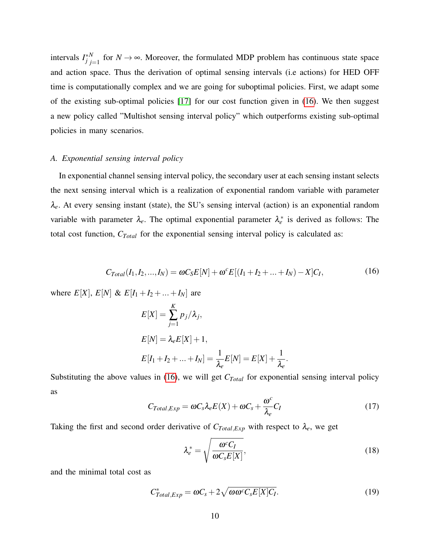intervals  $I_j^*$ *N*  $\sum_{j=1}^{N}$  for *N* → ∞. Moreover, the formulated MDP problem has continuous state space and action space. Thus the derivation of optimal sensing intervals (i.e actions) for HED OFF time is computationally complex and we are going for suboptimal policies. First, we adapt some of the existing sub-optimal policies [\[17\]](#page-19-13) for our cost function given in [\(16\)](#page-9-0). We then suggest a new policy called "Multishot sensing interval policy" which outperforms existing sub-optimal policies in many scenarios.

## *A. Exponential sensing interval policy*

In exponential channel sensing interval policy, the secondary user at each sensing instant selects the next sensing interval which is a realization of exponential random variable with parameter λ*e*. At every sensing instant (state), the SU's sensing interval (action) is an exponential random variable with parameter  $\lambda_e$ . The optimal exponential parameter  $\lambda_e^*$  is derived as follows: The total cost function, *CTotal* for the exponential sensing interval policy is calculated as:

$$
C_{Total}(I_1, I_2, ..., I_N) = \omega C_S E[N] + \omega^c E[(I_1 + I_2 + ... + I_N) - X]C_I,
$$
\n(16)

<span id="page-9-0"></span>where  $E[X], E[N] \& E[I_1 + I_2 + ... + I_N]$  are

$$
E[X] = \sum_{j=1}^{K} p_j/\lambda_j,
$$
  
\n
$$
E[N] = \lambda_e E[X] + 1,
$$
  
\n
$$
E[I_1 + I_2 + ... + I_N] = \frac{1}{\lambda_e} E[N] = E[X] + \frac{1}{\lambda_e}.
$$

Substituting the above values in [\(16\)](#page-9-0), we will get *CTotal* for exponential sensing interval policy as

$$
C_{Total,Exp} = \omega C_s \lambda_e E(X) + \omega C_s + \frac{\omega^c}{\lambda_e} C_I
$$
\n(17)

Taking the first and second order derivative of  $C_{Total, Exp}$  with respect to  $\lambda_e$ , we get

<span id="page-9-1"></span>
$$
\lambda_e^* = \sqrt{\frac{\omega^c C_I}{\omega C_s E[X]}},\tag{18}
$$

and the minimal total cost as

<span id="page-9-2"></span>
$$
C_{Total,Exp}^* = \omega C_s + 2\sqrt{\omega \omega^c C_s E[X] C_I}.
$$
\n(19)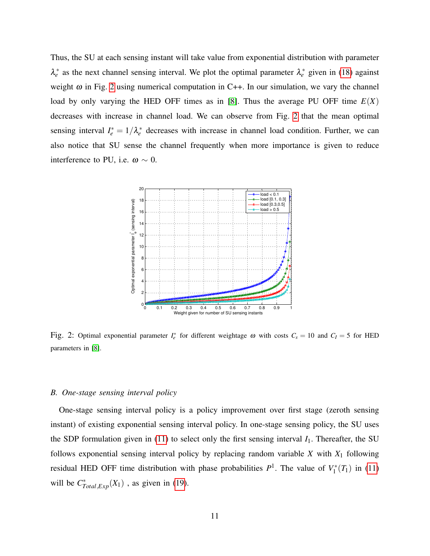Thus, the SU at each sensing instant will take value from exponential distribution with parameter  $\lambda_e^*$  as the next channel sensing interval. We plot the optimal parameter  $\lambda_e^*$  given in [\(18\)](#page-9-1) against weight  $\omega$  in Fig. [2](#page-10-0) using numerical computation in C++. In our simulation, we vary the channel load by only varying the HED OFF times as in [\[8\]](#page-19-4). Thus the average PU OFF time  $E(X)$ decreases with increase in channel load. We can observe from Fig. [2](#page-10-0) that the mean optimal sensing interval  $I_e^* = 1/\lambda_e^*$  decreases with increase in channel load condition. Further, we can also notice that SU sense the channel frequently when more importance is given to reduce interference to PU, i.e.  $\omega \sim 0$ .

<span id="page-10-0"></span>

Fig. 2: Optimal exponential parameter  $I_e^*$  for different weightage  $\omega$  with costs  $C_s = 10$  and  $C_I = 5$  for HED parameters in [\[8\]](#page-19-4).

#### *B. One-stage sensing interval policy*

One-stage sensing interval policy is a policy improvement over first stage (zeroth sensing instant) of existing exponential sensing interval policy. In one-stage sensing policy, the SU uses the SDP formulation given in  $(11)$  to select only the first sensing interval  $I_1$ . Thereafter, the SU follows exponential sensing interval policy by replacing random variable *X* with *X*<sup>1</sup> following residual HED OFF time distribution with phase probabilities  $P^1$ . The value of  $V_1^*$  $T_1^*(T_1)$  in [\(11\)](#page-6-1) will be  $C^*_{Total,Exp}(X_1)$ , as given in [\(19\)](#page-9-2).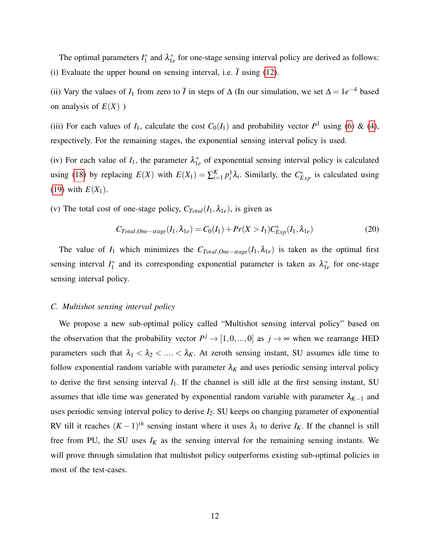The optimal parameters *I* ∗  $\lambda_1^*$  and  $\lambda_{1e}^*$  $i_e$  for one-stage sensing interval policy are derived as follows: (i) Evaluate the upper bound on sensing interval, i.e.  $\bar{I}$  using [\(12\)](#page-7-1).

(ii) Vary the values of  $I_1$  from zero to  $\overline{I}$  in steps of  $\Delta$  (In our simulation, we set  $\Delta = 1e^{-4}$  based on analysis of  $E(X)$ )

(iii) For each values of  $I_1$ , calculate the cost  $C_0(I_1)$  and probability vector  $P^1$  using [\(6\)](#page-4-1) & [\(4\)](#page-4-2), respectively. For the remaining stages, the exponential sensing interval policy is used.

(iv) For each value of  $I_1$ , the parameter  $\lambda_1^*$  $i_e$ <sup>\*</sup> of exponential sensing interval policy is calculated using [\(18\)](#page-9-1) by replacing  $E(X)$  with  $E(X_1) = \sum_{i=1}^{K} p_i^1 \lambda_i$ . Similarly, the  $C_{Exp}^*$  is calculated using [\(19\)](#page-9-2) with  $E(X_1)$ .

(v) The total cost of one-stage policy,  $C_{Total}(I_1, \lambda_{1e})$ , is given as

<span id="page-11-0"></span>
$$
C_{Total,One-stage}(I_1, \lambda_{1e}) = C_0(I_1) + Pr(X > I_1)C_{Exp}^*(I_1, \lambda_{1e})
$$
\n(20)

The value of  $I_1$  which minimizes the  $C_{Total,One-stage}(I_1, \lambda_{1e})$  is taken as the optimal first sensing interval  $I_1^*$ <sup>\*</sup>/<sub>1</sub> and its corresponding exponential parameter is taken as  $\lambda_{1}^*$  $i_e$  for one-stage sensing interval policy.

## *C. Multishot sensing interval policy*

We propose a new sub-optimal policy called "Multishot sensing interval policy" based on the observation that the probability vector  $P^j \to [1,0,...,0]$  as  $j \to \infty$  when we rearrange HED parameters such that  $\lambda_1 < \lambda_2 < ... < \lambda_K$ . At zeroth sensing instant, SU assumes idle time to follow exponential random variable with parameter  $\lambda_K$  and uses periodic sensing interval policy to derive the first sensing interval  $I_1$ . If the channel is still idle at the first sensing instant, SU assumes that idle time was generated by exponential random variable with parameter  $\lambda_{K-1}$  and uses periodic sensing interval policy to derive *I*2. SU keeps on changing parameter of exponential RV till it reaches  $(K-1)$ <sup>th</sup> sensing instant where it uses  $\lambda_1$  to derive  $I_K$ . If the channel is still free from PU, the SU uses  $I_K$  as the sensing interval for the remaining sensing instants. We will prove through simulation that multishot policy outperforms existing sub-optimal policies in most of the test-cases.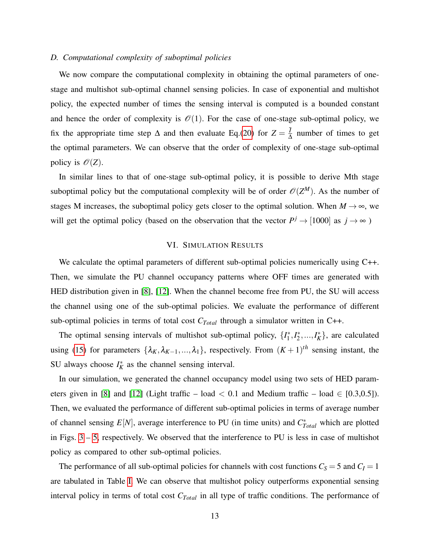## *D. Computational complexity of suboptimal policies*

We now compare the computational complexity in obtaining the optimal parameters of onestage and multishot sub-optimal channel sensing policies. In case of exponential and multishot policy, the expected number of times the sensing interval is computed is a bounded constant and hence the order of complexity is  $\mathcal{O}(1)$ . For the case of one-stage sub-optimal policy, we fix the appropriate time step  $\Delta$  and then evaluate Eq.[\(20\)](#page-11-0) for  $Z = \frac{7}{4}$  $\frac{1}{\Delta}$  number of times to get the optimal parameters. We can observe that the order of complexity of one-stage sub-optimal policy is  $\mathcal{O}(Z)$ .

In similar lines to that of one-stage sub-optimal policy, it is possible to derive Mth stage suboptimal policy but the computational complexity will be of order  $\mathcal{O}(Z^M)$ . As the number of stages M increases, the suboptimal policy gets closer to the optimal solution. When  $M \rightarrow \infty$ , we will get the optimal policy (based on the observation that the vector  $P^j \rightarrow [1000]$  as  $j \rightarrow \infty$ )

# VI. SIMULATION RESULTS

<span id="page-12-0"></span>We calculate the optimal parameters of different sub-optimal policies numerically using C++. Then, we simulate the PU channel occupancy patterns where OFF times are generated with HED distribution given in [\[8\]](#page-19-4), [\[12\]](#page-19-8). When the channel become free from PU, the SU will access the channel using one of the sub-optimal policies. We evaluate the performance of different sub-optimal policies in terms of total cost *CTotal* through a simulator written in C++.

The optimal sensing intervals of multishot sub-optimal policy,  $\{I_1^*\}$  $I_1^*, I_2^*$  $\{z_1^*,...,I_K^*\}$ , are calculated using [\(15\)](#page-8-1) for parameters  $\{\lambda_K, \lambda_{K-1}, ..., \lambda_1\}$ , respectively. From  $(K+1)^{th}$  sensing instant, the SU always choose  $I_K^*$  as the channel sensing interval.

In our simulation, we generated the channel occupancy model using two sets of HED param-eters given in [\[8\]](#page-19-4) and [\[12\]](#page-19-8) (Light traffic – load  $< 0.1$  and Medium traffic – load  $\in [0.3, 0.5]$ ). Then, we evaluated the performance of different sub-optimal policies in terms of average number of channel sensing  $E[N]$ , average interference to PU (in time units) and  $C_{Total}^*$  which are plotted in Figs. [3](#page-13-0) – [5,](#page-14-0) respectively. We observed that the interference to PU is less in case of multishot policy as compared to other sub-optimal policies.

The performance of all sub-optimal policies for channels with cost functions  $C_S = 5$  and  $C_I = 1$ are tabulated in Table [I.](#page-14-1) We can observe that multishot policy outperforms exponential sensing interval policy in terms of total cost *CTotal* in all type of traffic conditions. The performance of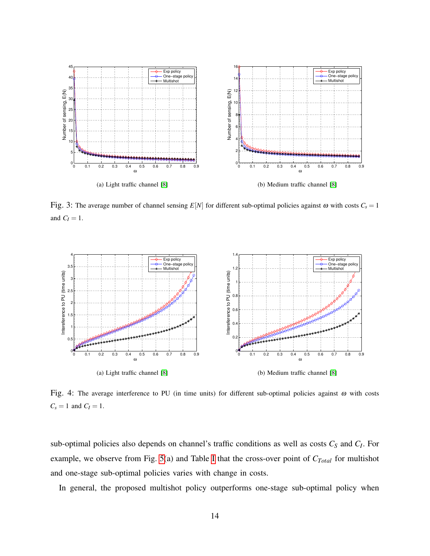<span id="page-13-0"></span>

Fig. 3: The average number of channel sensing  $E[N]$  for different sub-optimal policies against  $\omega$  with costs  $C_s = 1$ and  $C_I = 1$ .



Fig. 4: The average interference to PU (in time units) for different sub-optimal policies against ω with costs  $C_s = 1$  and  $C_I = 1$ .

sub-optimal policies also depends on channel's traffic conditions as well as costs *C<sup>S</sup>* and *C<sup>I</sup>* . For example, we observe from Fig. [5\(](#page-14-0)a) and Table [I](#page-14-1) that the cross-over point of *CTotal* for multishot and one-stage sub-optimal policies varies with change in costs.

In general, the proposed multishot policy outperforms one-stage sub-optimal policy when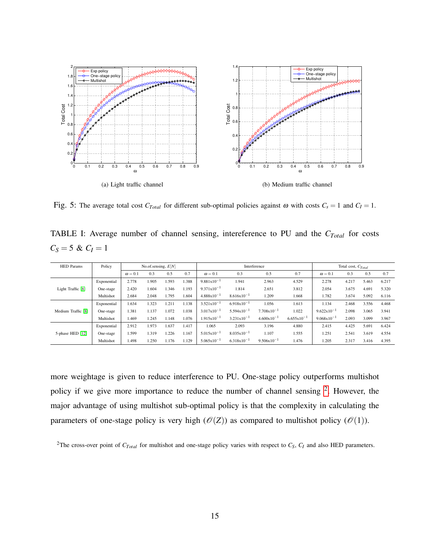<span id="page-14-0"></span>

Fig. 5: The average total cost  $C_{Total}$  for different sub-optimal policies against  $\omega$  with costs  $C_s = 1$  and  $C_I = 1$ .

<span id="page-14-1"></span>TABLE I: Average number of channel sensing, intereference to PU and the *CTotal* for costs  $C_S = 5 \& C_I = 1$ 

| <b>HED</b> Params  | Policy      | No.of.sensing, $E[N]$ |       |       |       | Interference           |                        |                        |                        | Total cost, $C_{Total}$ |       |       |       |
|--------------------|-------------|-----------------------|-------|-------|-------|------------------------|------------------------|------------------------|------------------------|-------------------------|-------|-------|-------|
|                    |             | $\omega = 0.1$        | 0.3   | 0.5   | 0.7   | $\omega = 0.1$         | 0.3                    | 0.5                    | 0.7                    | $\omega = 0.1$          | 0.3   | 0.5   | 0.7   |
| Light Traffic [8]  | Exponential | 2.778                 | 1.905 | 1.593 | 1.388 | $9.881 \times 10^{-1}$ | 1.941                  | 2.963                  | 4.529                  | 2.278                   | 4.217 | 5.463 | 6.217 |
|                    | One-stage   | 2.420                 | 1.604 | .346  | 1.193 | $9.371 \times 10^{-1}$ | 1.814                  | 2.651                  | 3.812                  | 2.054                   | 3.675 | 4.691 | 5.320 |
|                    | Multishot   | 2.684                 | 2.048 | 1.795 | 1.604 | $4.888 \times 10^{-1}$ | $8.616 \times 10^{-1}$ | 1.209                  | 1.668                  | 1.782                   | 3.674 | 5.092 | 6.116 |
| Medium Traffic [8] | Exponential | 1.634                 | .323  | 1.211 | 1.138 | $3.521 \times 10^{-1}$ | $6.918 \times 10^{-1}$ | 1.056                  | 1.613                  | 1.134                   | 2.468 | 3.556 | 4.468 |
|                    | One-stage   | 1.381                 | 1.137 | 1.072 | 1.038 | $3.017x10^{-1}$        | $5.594 \times 10^{-1}$ | $7.708 \times 10^{-1}$ | 1.022                  | $9.622 \times 10^{-1}$  | 2.098 | 3.065 | 3.941 |
|                    | Multishot   | 1.469                 | 1.245 | 1.148 | 1.076 | $1.915x10^{-1}$        | $3.231x10^{-1}$        | $4.600 \times 10^{-1}$ | $6.655 \times 10^{-1}$ | $9.068 \times 10^{-1}$  | 2.093 | 3.099 | 3.967 |
| 5-phase HED [12]   | Exponential | 2.912                 | 1.973 | 1.637 | 1.417 | 1.065                  | 2.093                  | 3.196                  | 4.880                  | 2.415                   | 4.425 | 5.691 | 6.424 |
|                    | One-stage   | 1.599                 | 1.319 | .226  | 1.167 | $5.015x10^{-1}$        | $8.035 \times 10^{-1}$ | 1.107                  | 1.555                  | 1.251                   | 2.541 | 3.619 | 4.554 |
|                    | Multishot   | 1.498                 | 1.250 | 1.176 | 1.129 | $5.065 \times 10^{-1}$ | $6.318 \times 10^{-1}$ | $9.506 \times 10^{-1}$ | 1.476                  | 1.205                   | 2.317 | 3.416 | 4.395 |

more weightage is given to reduce interference to PU. One-stage policy outperforms multishot policy if we give more importance to reduce the number of channel sensing <sup>[2](#page-14-2)</sup>. However, the major advantage of using multishot sub-optimal policy is that the complexity in calculating the parameters of one-stage policy is very high  $(\mathcal{O}(Z))$  as compared to multishot policy  $(\mathcal{O}(1))$ .

<span id="page-14-2"></span><sup>2</sup>The cross-over point of  $C_{Total}$  for multishot and one-stage policy varies with respect to  $C_S$ ,  $C_I$  and also HED parameters.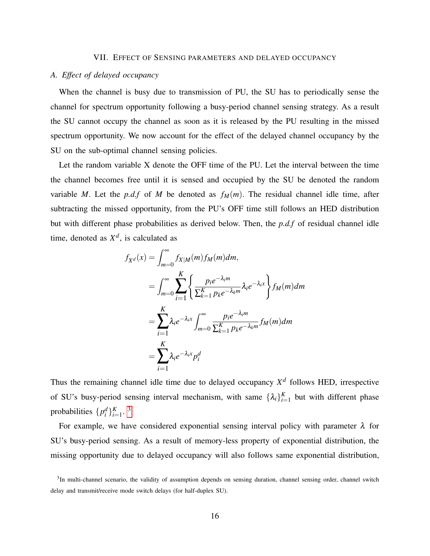#### VII. EFFECT OF SENSING PARAMETERS AND DELAYED OCCUPANCY

## <span id="page-15-0"></span>*A. Effect of delayed occupancy*

When the channel is busy due to transmission of PU, the SU has to periodically sense the channel for spectrum opportunity following a busy-period channel sensing strategy. As a result the SU cannot occupy the channel as soon as it is released by the PU resulting in the missed spectrum opportunity. We now account for the effect of the delayed channel occupancy by the SU on the sub-optimal channel sensing policies.

Let the random variable X denote the OFF time of the PU. Let the interval between the time the channel becomes free until it is sensed and occupied by the SU be denoted the random variable *M*. Let the *p.d.f* of *M* be denoted as  $f_M(m)$ . The residual channel idle time, after subtracting the missed opportunity, from the PU's OFF time still follows an HED distribution but with different phase probabilities as derived below. Then, the *p.d.f* of residual channel idle time, denoted as  $X^d$ , is calculated as

$$
f_{X^d}(x) = \int_{m=0}^{\infty} f_{X|M}(m) f_M(m) dm,
$$
  
\n
$$
= \int_{m=0}^{\infty} \sum_{i=1}^K \left\{ \frac{p_i e^{-\lambda_i m}}{\sum_{k=1}^K p_k e^{-\lambda_k m}} \lambda_i e^{-\lambda_i x} \right\} f_M(m) dm
$$
  
\n
$$
= \sum_{i=1}^K \lambda_i e^{-\lambda_i x} \int_{m=0}^{\infty} \frac{p_i e^{-\lambda_i m}}{\sum_{k=1}^K p_k e^{-\lambda_k m}} f_M(m) dm
$$
  
\n
$$
= \sum_{i=1}^K \lambda_i e^{-\lambda_i x} p_i^d
$$

<span id="page-15-2"></span>Thus the remaining channel idle time due to delayed occupancy *X d* follows HED, irrespective of SU's busy-period sensing interval mechanism, with same  $\{\lambda_i\}_{i=1}^K$  but with different phase probabilities  $\{p_i^d\}_{i=1}^K$ .<sup>[3](#page-15-1)</sup>

For example, we have considered exponential sensing interval policy with parameter  $\lambda$  for SU's busy-period sensing. As a result of memory-less property of exponential distribution, the missing opportunity due to delayed occupancy will also follows same exponential distribution,

<span id="page-15-1"></span><sup>&</sup>lt;sup>3</sup>In multi-channel scenario, the validity of assumption depends on sensing duration, channel sensing order, channel switch delay and transmit/receive mode switch delays (for half-duplex SU).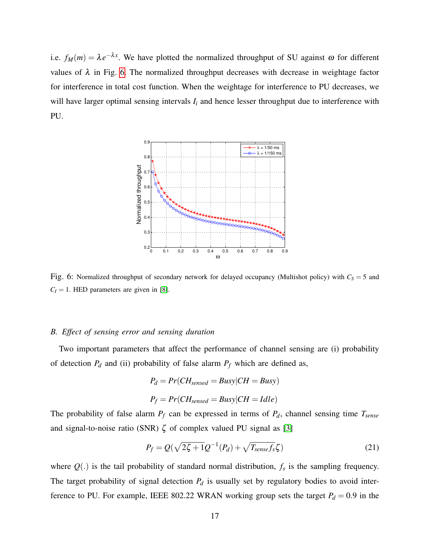<span id="page-16-0"></span>i.e.  $f_M(m) = \lambda e^{-\lambda x}$ . We have plotted the normalized throughput of SU against  $\omega$  for different values of  $\lambda$  in Fig. [6.](#page-16-0) The normalized throughput decreases with decrease in weightage factor for interference in total cost function. When the weightage for interference to PU decreases, we will have larger optimal sensing intervals  $I_i$  and hence lesser throughput due to interference with PU.



Fig. 6: Normalized throughput of secondary network for delayed occupancy (Multishot policy) with  $C_S = 5$  and  $C_I = 1$ . HED parameters are given in [\[8\]](#page-19-4).

# *B. Effect of sensing error and sensing duration*

Two important parameters that affect the performance of channel sensing are (i) probability of detection  $P_d$  and (ii) probability of false alarm  $P_f$  which are defined as,

$$
P_d = Pr(CH_{sensed} = Busy|CH = Busy)
$$
  

$$
P_f = Pr(CH_{sensed} = Busy|CH = Idle)
$$

The probability of false alarm  $P_f$  can be expressed in terms of  $P_d$ , channel sensing time  $T_{sense}$ and signal-to-noise ratio (SNR)  $\zeta$  of complex valued PU signal as [\[3\]](#page-18-2)

$$
P_f = Q(\sqrt{2\zeta + 1}Q^{-1}(P_d) + \sqrt{T_{sense}f_s}\zeta)
$$
\n(21)

where  $Q(.)$  is the tail probability of standard normal distribution,  $f_s$  is the sampling frequency. The target probability of signal detection  $P_d$  is usually set by regulatory bodies to avoid interference to PU. For example, IEEE 802.22 WRAN working group sets the target  $P_d = 0.9$  in the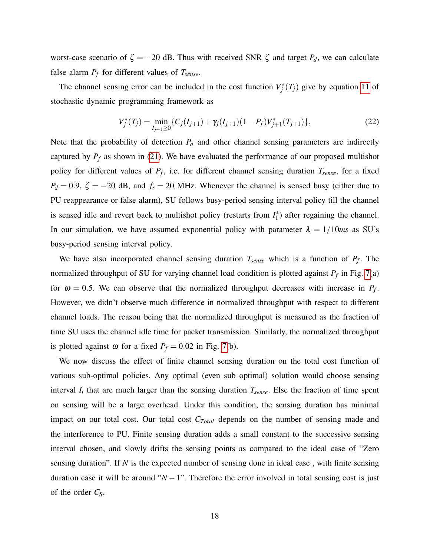worst-case scenario of  $\zeta = -20$  dB. Thus with received SNR  $\zeta$  and target  $P_d$ , we can calculate false alarm  $P_f$  for different values of  $T_{sense}$ .

The channel sensing error can be included in the cost function  $V_j^*(T_j)$  give by equation [11](#page-6-1) of stochastic dynamic programming framework as

$$
V_j^*(T_j) = \min_{I_{j+1} \ge 0} \{ C_j(I_{j+1}) + \gamma_j(I_{j+1})(1 - P_f) V_{j+1}^*(T_{j+1}) \},
$$
\n(22)

Note that the probability of detection  $P_d$  and other channel sensing parameters are indirectly captured by  $P_f$  as shown in [\(21\)](#page-15-2). We have evaluated the performance of our proposed multishot policy for different values of *P<sup>f</sup>* , i.e. for different channel sensing duration *Tsense*, for a fixed  $P_d = 0.9$ ,  $\zeta = -20$  dB, and  $f_s = 20$  MHz. Whenever the channel is sensed busy (either due to PU reappearance or false alarm), SU follows busy-period sensing interval policy till the channel is sensed idle and revert back to multishot policy (restarts from  $I_1^*$ )  $j_1^*$ ) after regaining the channel. In our simulation, we have assumed exponential policy with parameter  $\lambda = 1/10$ *ms* as SU's busy-period sensing interval policy.

We have also incorporated channel sensing duration *Tsense* which is a function of *P<sup>f</sup>* . The normalized throughput of SU for varying channel load condition is plotted against *P<sup>f</sup>* in Fig. [7\(](#page-18-4)a) for  $\omega = 0.5$ . We can observe that the normalized throughput decreases with increase in  $P_f$ . However, we didn't observe much difference in normalized throughput with respect to different channel loads. The reason being that the normalized throughput is measured as the fraction of time SU uses the channel idle time for packet transmission. Similarly, the normalized throughput is plotted against  $\omega$  for a fixed  $P_f = 0.02$  in Fig. [7\(](#page-18-4)b).

We now discuss the effect of finite channel sensing duration on the total cost function of various sub-optimal policies. Any optimal (even sub optimal) solution would choose sensing interval *I<sup>i</sup>* that are much larger than the sensing duration *Tsense*. Else the fraction of time spent on sensing will be a large overhead. Under this condition, the sensing duration has minimal impact on our total cost. Our total cost *CTotal* depends on the number of sensing made and the interference to PU. Finite sensing duration adds a small constant to the successive sensing interval chosen, and slowly drifts the sensing points as compared to the ideal case of "Zero sensing duration". If *N* is the expected number of sensing done in ideal case , with finite sensing duration case it will be around " $N-1$ ". Therefore the error involved in total sensing cost is just of the order *CS*.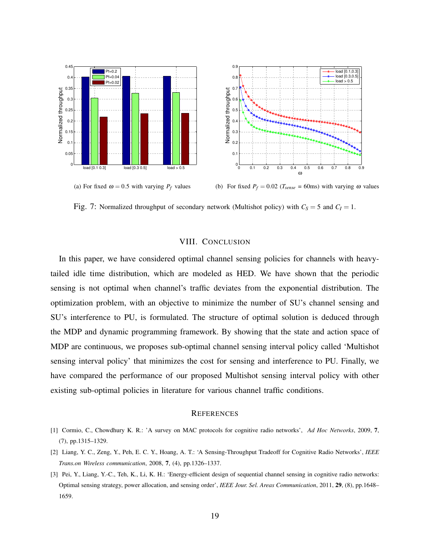<span id="page-18-4"></span>

Fig. 7: Normalized throughput of secondary network (Multishot policy) with  $C_S = 5$  and  $C_I = 1$ .

# VIII. CONCLUSION

<span id="page-18-3"></span>In this paper, we have considered optimal channel sensing policies for channels with heavytailed idle time distribution, which are modeled as HED. We have shown that the periodic sensing is not optimal when channel's traffic deviates from the exponential distribution. The optimization problem, with an objective to minimize the number of SU's channel sensing and SU's interference to PU, is formulated. The structure of optimal solution is deduced through the MDP and dynamic programming framework. By showing that the state and action space of MDP are continuous, we proposes sub-optimal channel sensing interval policy called 'Multishot sensing interval policy' that minimizes the cost for sensing and interference to PU. Finally, we have compared the performance of our proposed Multishot sensing interval policy with other existing sub-optimal policies in literature for various channel traffic conditions.

#### **REFERENCES**

- <span id="page-18-0"></span>[1] Cormio, C., Chowdhury K. R.: 'A survey on MAC protocols for cognitive radio networks', *Ad Hoc Networks*, 2009, 7, (7), pp.1315–1329.
- <span id="page-18-1"></span>[2] Liang, Y. C., Zeng, Y., Peh, E. C. Y., Hoang, A. T.: 'A Sensing-Throughput Tradeoff for Cognitive Radio Networks', *IEEE Trans.on Wireless communication*, 2008, 7, (4), pp.1326–1337.
- <span id="page-18-2"></span>[3] Pei, Y., Liang, Y.-C., Teh, K., Li, K. H.: 'Energy-efficient design of sequential channel sensing in cognitive radio networks: Optimal sensing strategy, power allocation, and sensing order', *IEEE Jour. Sel. Areas Communication*, 2011, 29, (8), pp.1648– 1659.